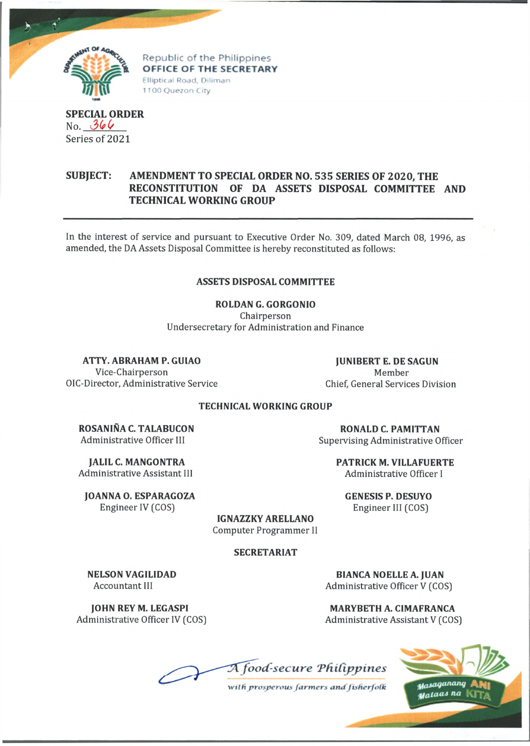

Republic of the Philippines OFFICE OF THE SECRETARY Elliptical Road, Diliman 1100 Quezon City

## **SPECIAL ORDER** No. *3(f(/* Series of 2021

## **SUBJECT: AMENDMENT TO SPECIAL ORDER NO. 535 SERIES OF 2020, THE RECONSTITUTION OF DA ASSETS DISPOSAL COMMITTEE AND TECHNICAL WORKING GROUP**

In the interest of service and pursuant to Executive Order No. 309, dated March 08, 1996, as amended, the DA Assets Disposal Committee is hereby reconstituted as follows:

## **ASSETS DISPOSAL COMMITTEE**

**ROLDAN G. GORGONIO** Chairperson

Undersecretary for Administration and Finance

**ATTY. ABRAHAM P. GUIAO**

Vice-Chairperson OIC-Director, Administrative Service

**JUNIBERT E. DE SAGUN** Member Chief, General Services Division

## **TECHNICAL WORKING GROUP**

**ROSANINA C. TALABUCON** Administrative Officer III

**JALIL C. MANGONTRA** Administrative Assistant III

**JOANNA O. ESPARAGOZA** Engineer IV (COS)

**NELSON VAGILIDAD** Accountant III

**JOHN REY M. LEGASPI** Administrative Officer IV (COS)

**RONALD C. PAMITTAN** Supervising Administrative Officer

> **PATRICK M. VILLAFUERTE** Administrative Officer I

**GENESIS P. DESUYO** Engineer III (COS)

**IGNAZZKY ARELLANO** Computer Programmer II

**SECRETARIAT**

**BIANCA NOELLE A. JUAN** Administrative Officer V (COS)

**MARYBETH A. CIMAFRANCA** Administrative Assistant V (COS)

 $A$  food-secure Philippines